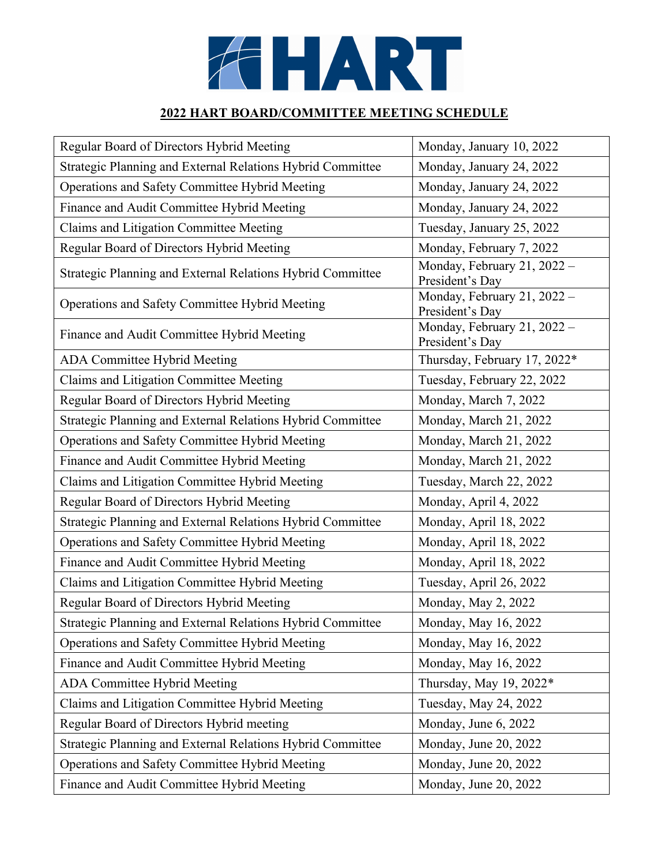

## **2022 HART BOARD/COMMITTEE MEETING SCHEDULE**

| Regular Board of Directors Hybrid Meeting                  | Monday, January 10, 2022                       |
|------------------------------------------------------------|------------------------------------------------|
| Strategic Planning and External Relations Hybrid Committee | Monday, January 24, 2022                       |
| Operations and Safety Committee Hybrid Meeting             | Monday, January 24, 2022                       |
| Finance and Audit Committee Hybrid Meeting                 | Monday, January 24, 2022                       |
| Claims and Litigation Committee Meeting                    | Tuesday, January 25, 2022                      |
| Regular Board of Directors Hybrid Meeting                  | Monday, February 7, 2022                       |
| Strategic Planning and External Relations Hybrid Committee | Monday, February 21, 2022 -<br>President's Day |
| Operations and Safety Committee Hybrid Meeting             | Monday, February 21, 2022 -<br>President's Day |
| Finance and Audit Committee Hybrid Meeting                 | Monday, February 21, 2022 -<br>President's Day |
| ADA Committee Hybrid Meeting                               | Thursday, February 17, 2022*                   |
| Claims and Litigation Committee Meeting                    | Tuesday, February 22, 2022                     |
| Regular Board of Directors Hybrid Meeting                  | Monday, March 7, 2022                          |
| Strategic Planning and External Relations Hybrid Committee | Monday, March 21, 2022                         |
| Operations and Safety Committee Hybrid Meeting             | Monday, March 21, 2022                         |
| Finance and Audit Committee Hybrid Meeting                 | Monday, March 21, 2022                         |
| Claims and Litigation Committee Hybrid Meeting             | Tuesday, March 22, 2022                        |
| Regular Board of Directors Hybrid Meeting                  | Monday, April 4, 2022                          |
| Strategic Planning and External Relations Hybrid Committee | Monday, April 18, 2022                         |
| Operations and Safety Committee Hybrid Meeting             | Monday, April 18, 2022                         |
| Finance and Audit Committee Hybrid Meeting                 | Monday, April 18, 2022                         |
| Claims and Litigation Committee Hybrid Meeting             | Tuesday, April 26, 2022                        |
| Regular Board of Directors Hybrid Meeting                  | Monday, May 2, 2022                            |
| Strategic Planning and External Relations Hybrid Committee | Monday, May 16, 2022                           |
| Operations and Safety Committee Hybrid Meeting             | Monday, May 16, 2022                           |
| Finance and Audit Committee Hybrid Meeting                 | Monday, May 16, 2022                           |
| ADA Committee Hybrid Meeting                               | Thursday, May 19, 2022*                        |
| Claims and Litigation Committee Hybrid Meeting             | Tuesday, May 24, 2022                          |
| Regular Board of Directors Hybrid meeting                  | Monday, June 6, 2022                           |
| Strategic Planning and External Relations Hybrid Committee | Monday, June 20, 2022                          |
| Operations and Safety Committee Hybrid Meeting             | Monday, June 20, 2022                          |
| Finance and Audit Committee Hybrid Meeting                 | Monday, June 20, 2022                          |